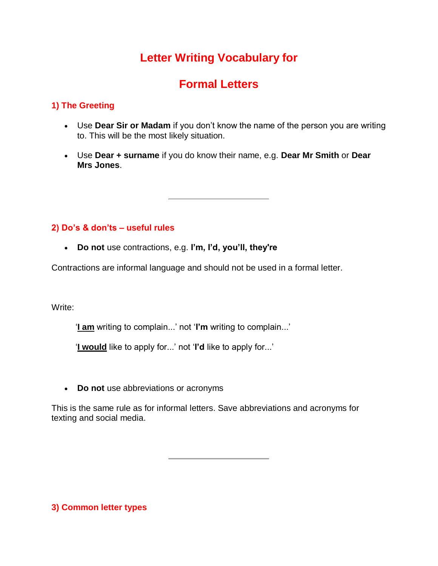# **Letter Writing Vocabulary for**

# **Formal Letters**

# **1) The Greeting**

- Use **Dear Sir or Madam** if you don't know the name of the person you are writing to. This will be the most likely situation.
- Use **Dear + surname** if you do know their name, e.g. **Dear Mr Smith** or **Dear Mrs Jones**.

# **2) Do's & don'ts – useful rules**

**Do not** use contractions, e.g. **I'm, I'd, you'll, they're**

Contractions are informal language and should not be used in a formal letter.

Write:

'**I am** writing to complain...' not '**I'm** writing to complain...'

'**I would** like to apply for...' not '**I'd** like to apply for...'

**Do not** use abbreviations or acronyms

This is the same rule as for informal letters. Save abbreviations and acronyms for texting and social media.

**3) Common letter types**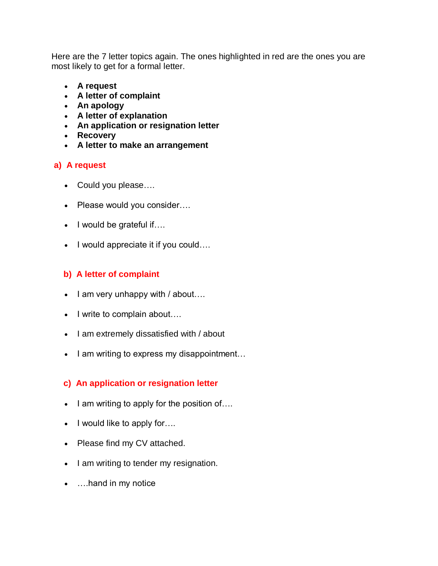Here are the 7 letter topics again. The ones highlighted in red are the ones you are most likely to get for a formal letter.

- **A request**
- **A letter of complaint**
- **An apology**
- **A letter of explanation**
- **An application or resignation letter**
- **Recovery**
- **A letter to make an arrangement**

# **a) A request**

- Could you please….
- Please would you consider....
- $\bullet$  I would be grateful if....
- I would appreciate it if you could....

## **b) A letter of complaint**

- $\bullet$  lam very unhappy with / about....
- I write to complain about....
- I am extremely dissatisfied with / about
- I am writing to express my disappointment...

## **c) An application or resignation letter**

- $\bullet$  I am writing to apply for the position of....
- $\bullet$  I would like to apply for....
- Please find my CV attached.
- I am writing to tender my resignation.
- ....hand in my notice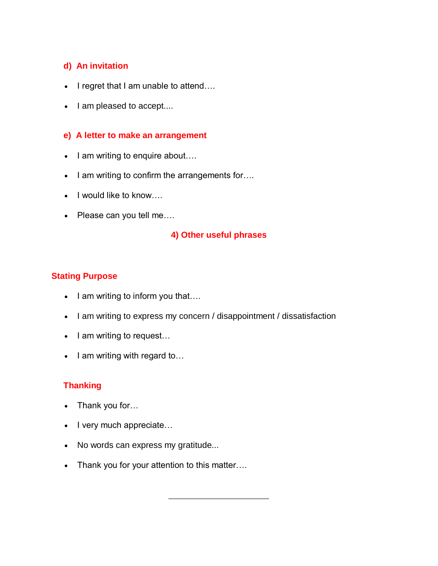# **d) An invitation**

- $\bullet$  I regret that I am unable to attend....
- I am pleased to accept....

#### **e) A letter to make an arrangement**

- $\bullet$  I am writing to enquire about...
- I am writing to confirm the arrangements for....
- $\bullet$  I would like to know....
- Please can you tell me....

#### **4) Other useful phrases**

## **Stating Purpose**

- $\bullet$  lam writing to inform you that....
- I am writing to express my concern / disappointment / dissatisfaction
- $\bullet$  lam writing to request...
- $\bullet$  I am writing with regard to...

## **Thanking**

- Thank you for...
- I very much appreciate...
- No words can express my gratitude...
- Thank you for your attention to this matter....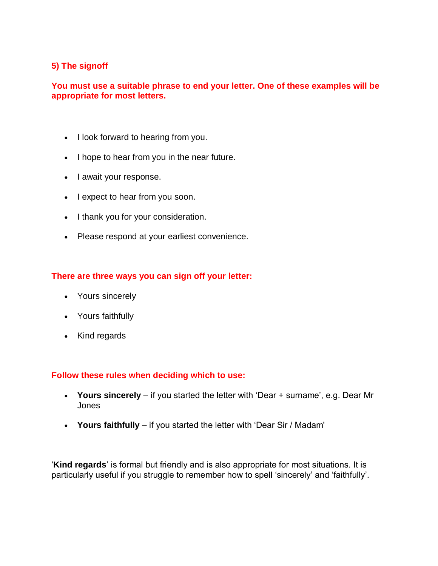## **5) The signoff**

#### **You must use a suitable phrase to end your letter. One of these examples will be appropriate for most letters.**

- I look forward to hearing from you.
- I hope to hear from you in the near future.
- lawait your response.
- lexpect to hear from you soon.
- I thank you for your consideration.
- Please respond at your earliest convenience.

#### **There are three ways you can sign off your letter:**

- Yours sincerely
- Yours faithfully
- Kind regards

#### **Follow these rules when deciding which to use:**

- **Yours sincerely** if you started the letter with 'Dear + surname', e.g. Dear Mr Jones
- **Yours faithfully** if you started the letter with 'Dear Sir / Madam'

'**Kind regards**' is formal but friendly and is also appropriate for most situations. It is particularly useful if you struggle to remember how to spell 'sincerely' and 'faithfully'.